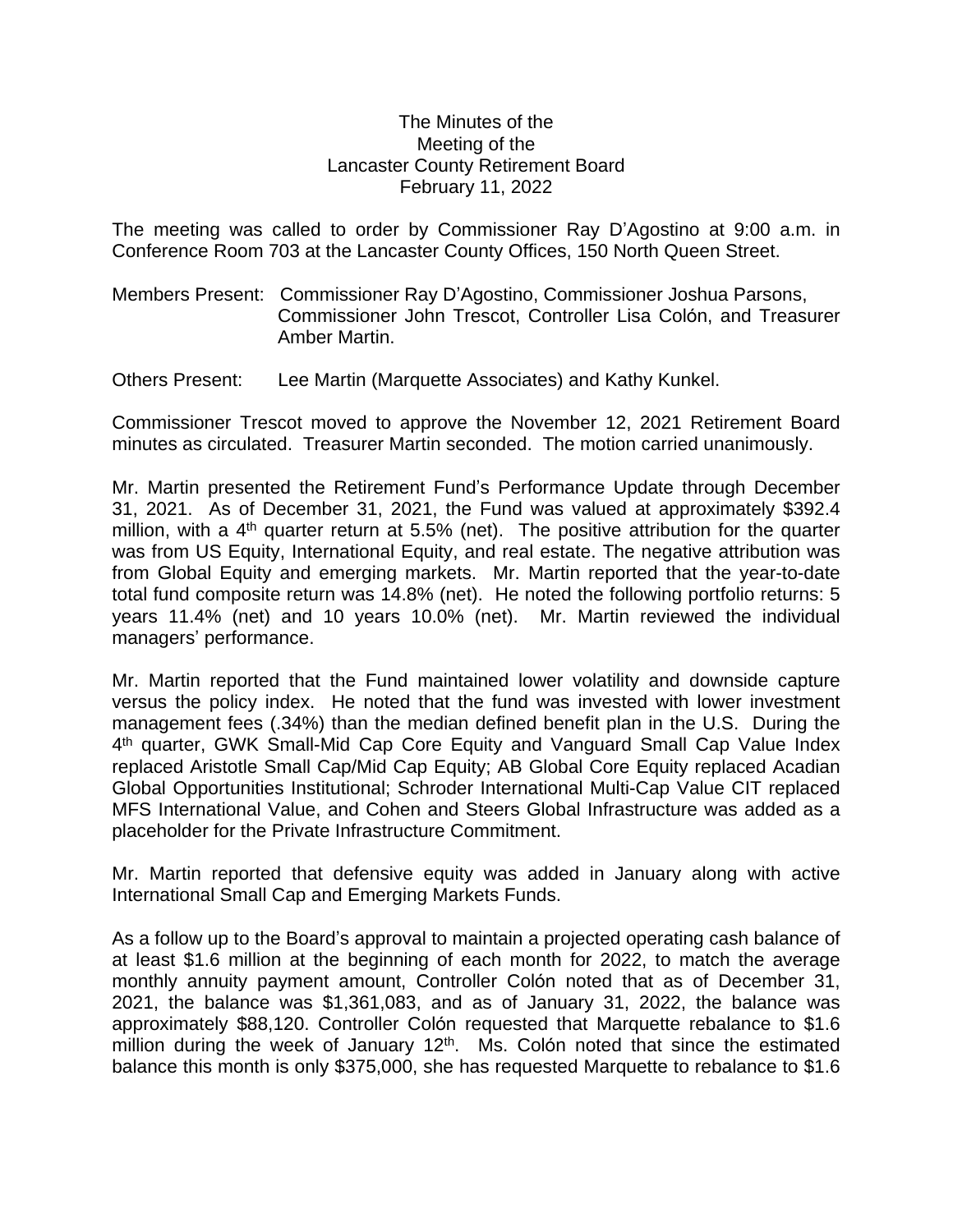## The Minutes of the Meeting of the Lancaster County Retirement Board February 11, 2022

The meeting was called to order by Commissioner Ray D'Agostino at 9:00 a.m. in Conference Room 703 at the Lancaster County Offices, 150 North Queen Street.

Members Present: Commissioner Ray D'Agostino, Commissioner Joshua Parsons, Commissioner John Trescot, Controller Lisa Colón, and Treasurer Amber Martin.

Others Present: Lee Martin (Marquette Associates) and Kathy Kunkel.

Commissioner Trescot moved to approve the November 12, 2021 Retirement Board minutes as circulated. Treasurer Martin seconded. The motion carried unanimously.

Mr. Martin presented the Retirement Fund's Performance Update through December 31, 2021. As of December 31, 2021, the Fund was valued at approximately \$392.4 million, with a 4<sup>th</sup> quarter return at 5.5% (net). The positive attribution for the quarter was from US Equity, International Equity, and real estate. The negative attribution was from Global Equity and emerging markets. Mr. Martin reported that the year-to-date total fund composite return was 14.8% (net). He noted the following portfolio returns: 5 years 11.4% (net) and 10 years 10.0% (net). Mr. Martin reviewed the individual managers' performance.

Mr. Martin reported that the Fund maintained lower volatility and downside capture versus the policy index. He noted that the fund was invested with lower investment management fees (.34%) than the median defined benefit plan in the U.S. During the 4 th quarter, GWK Small-Mid Cap Core Equity and Vanguard Small Cap Value Index replaced Aristotle Small Cap/Mid Cap Equity; AB Global Core Equity replaced Acadian Global Opportunities Institutional; Schroder International Multi-Cap Value CIT replaced MFS International Value, and Cohen and Steers Global Infrastructure was added as a placeholder for the Private Infrastructure Commitment.

Mr. Martin reported that defensive equity was added in January along with active International Small Cap and Emerging Markets Funds.

As a follow up to the Board's approval to maintain a projected operating cash balance of at least \$1.6 million at the beginning of each month for 2022, to match the average monthly annuity payment amount, Controller Colón noted that as of December 31, 2021, the balance was \$1,361,083, and as of January 31, 2022, the balance was approximately \$88,120. Controller Colón requested that Marquette rebalance to \$1.6 million during the week of January 12<sup>th</sup>. Ms. Colón noted that since the estimated balance this month is only \$375,000, she has requested Marquette to rebalance to \$1.6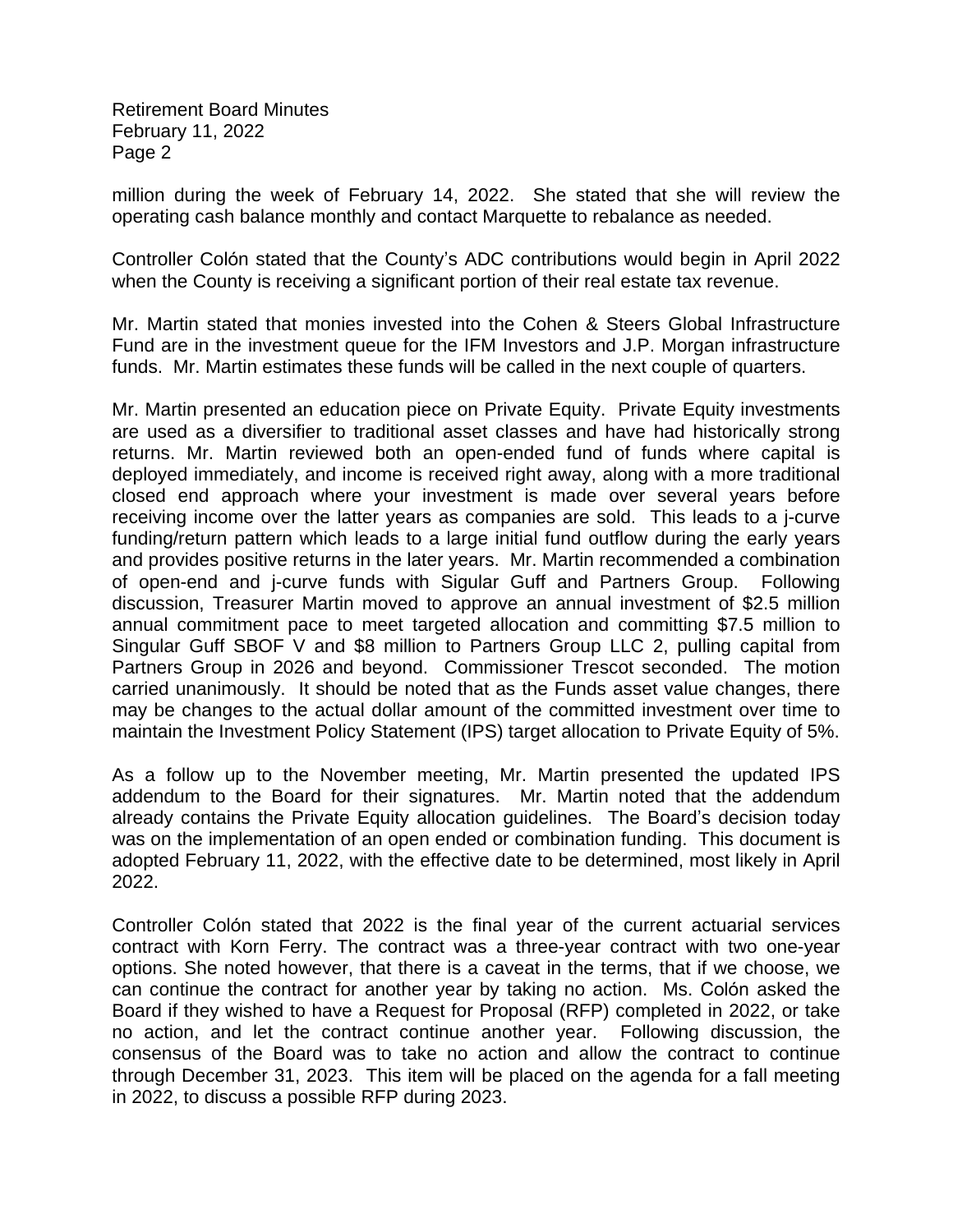Retirement Board Minutes February 11, 2022 Page 2

million during the week of February 14, 2022. She stated that she will review the operating cash balance monthly and contact Marquette to rebalance as needed.

Controller Colón stated that the County's ADC contributions would begin in April 2022 when the County is receiving a significant portion of their real estate tax revenue.

Mr. Martin stated that monies invested into the Cohen & Steers Global Infrastructure Fund are in the investment queue for the IFM Investors and J.P. Morgan infrastructure funds. Mr. Martin estimates these funds will be called in the next couple of quarters.

Mr. Martin presented an education piece on Private Equity. Private Equity investments are used as a diversifier to traditional asset classes and have had historically strong returns. Mr. Martin reviewed both an open-ended fund of funds where capital is deployed immediately, and income is received right away, along with a more traditional closed end approach where your investment is made over several years before receiving income over the latter years as companies are sold. This leads to a j-curve funding/return pattern which leads to a large initial fund outflow during the early years and provides positive returns in the later years. Mr. Martin recommended a combination of open-end and j-curve funds with Sigular Guff and Partners Group. Following discussion, Treasurer Martin moved to approve an annual investment of \$2.5 million annual commitment pace to meet targeted allocation and committing \$7.5 million to Singular Guff SBOF V and \$8 million to Partners Group LLC 2, pulling capital from Partners Group in 2026 and beyond. Commissioner Trescot seconded. The motion carried unanimously. It should be noted that as the Funds asset value changes, there may be changes to the actual dollar amount of the committed investment over time to maintain the Investment Policy Statement (IPS) target allocation to Private Equity of 5%.

As a follow up to the November meeting, Mr. Martin presented the updated IPS addendum to the Board for their signatures. Mr. Martin noted that the addendum already contains the Private Equity allocation guidelines. The Board's decision today was on the implementation of an open ended or combination funding. This document is adopted February 11, 2022, with the effective date to be determined, most likely in April 2022.

Controller Colón stated that 2022 is the final year of the current actuarial services contract with Korn Ferry. The contract was a three-year contract with two one-year options. She noted however, that there is a caveat in the terms, that if we choose, we can continue the contract for another year by taking no action. Ms. Colón asked the Board if they wished to have a Request for Proposal (RFP) completed in 2022, or take no action, and let the contract continue another year. Following discussion, the consensus of the Board was to take no action and allow the contract to continue through December 31, 2023. This item will be placed on the agenda for a fall meeting in 2022, to discuss a possible RFP during 2023.